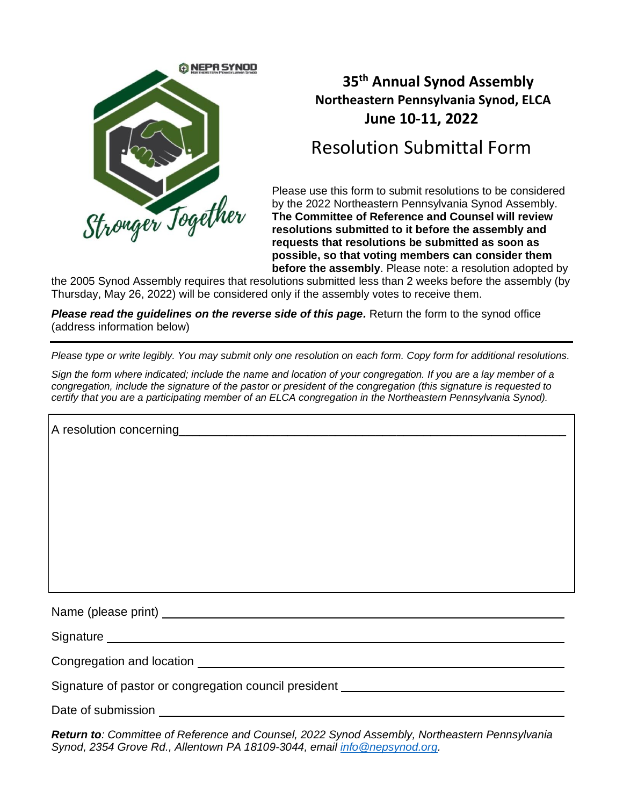

## **35 th Annual Synod Assembly Northeastern Pennsylvania Synod, ELCA June 10-11, 2022**

# Resolution Submittal Form

Please use this form to submit resolutions to be considered by the 2022 Northeastern Pennsylvania Synod Assembly. **The Committee of Reference and Counsel will review resolutions submitted to it before the assembly and requests that resolutions be submitted as soon as possible, so that voting members can consider them before the assembly**. Please note: a resolution adopted by

the 2005 Synod Assembly requires that resolutions submitted less than 2 weeks before the assembly (by Thursday, May 26, 2022) will be considered only if the assembly votes to receive them.

*Please read the guidelines on the reverse side of this page.* Return the form to the synod office (address information below)

*Please type or write legibly. You may submit only one resolution on each form. Copy form for additional resolutions.* 

*Sign the form where indicated; include the name and location of your congregation. If you are a lay member of a congregation, include the signature of the pastor or president of the congregation (this signature is requested to certify that you are a participating member of an ELCA congregation in the Northeastern Pennsylvania Synod).*

| Signature experience and the state of the state of the state of the state of the state of the state of the state of the state of the state of the state of the state of the state of the state of the state of the state of th |
|--------------------------------------------------------------------------------------------------------------------------------------------------------------------------------------------------------------------------------|
|                                                                                                                                                                                                                                |
| Signature of pastor or congregation council president __________________________                                                                                                                                               |
|                                                                                                                                                                                                                                |

Date of submission

*Return to: Committee of Reference and Counsel, 2022 Synod Assembly, Northeastern Pennsylvania Synod, 2354 Grove Rd., Allentown PA 18109-3044, email [info@nepsynod.org.](mailto:info@nepsynod.org)*